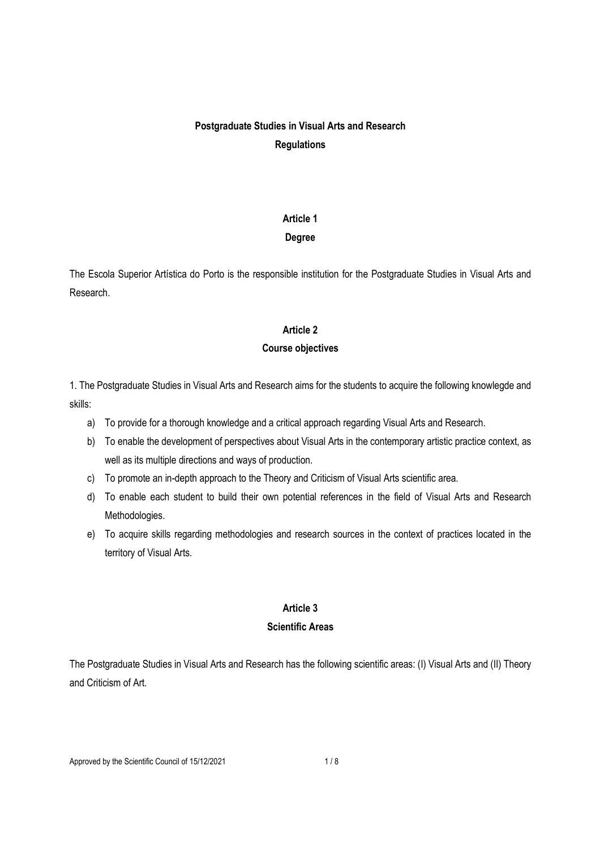# Postgraduate Studies in Visual Arts and Research **Regulations**

# Article 1

# Degree

The Escola Superior Artística do Porto is the responsible institution for the Postgraduate Studies in Visual Arts and Research.

# Article 2

# Course objectives

1. The Postgraduate Studies in Visual Arts and Research aims for the students to acquire the following knowlegde and skills:

- a) To provide for a thorough knowledge and a critical approach regarding Visual Arts and Research.
- b) To enable the development of perspectives about Visual Arts in the contemporary artistic practice context, as well as its multiple directions and ways of production.
- c) To promote an in-depth approach to the Theory and Criticism of Visual Arts scientific area.
- d) To enable each student to build their own potential references in the field of Visual Arts and Research Methodologies.
- e) To acquire skills regarding methodologies and research sources in the context of practices located in the territory of Visual Arts.

# Article 3

# Scientific Areas

The Postgraduate Studies in Visual Arts and Research has the following scientific areas: (I) Visual Arts and (II) Theory and Criticism of Art.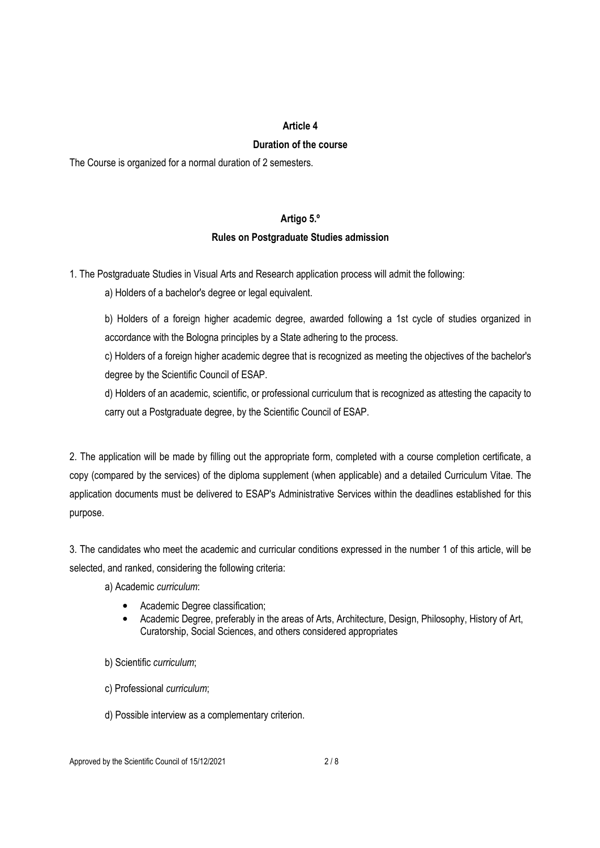### Article 4

### Duration of the course

The Course is organized for a normal duration of 2 semesters.

### Artigo 5.º

# Rules on Postgraduate Studies admission

1. The Postgraduate Studies in Visual Arts and Research application process will admit the following:

a) Holders of a bachelor's degree or legal equivalent.

b) Holders of a foreign higher academic degree, awarded following a 1st cycle of studies organized in accordance with the Bologna principles by a State adhering to the process.

c) Holders of a foreign higher academic degree that is recognized as meeting the objectives of the bachelor's degree by the Scientific Council of ESAP.

d) Holders of an academic, scientific, or professional curriculum that is recognized as attesting the capacity to carry out a Postgraduate degree, by the Scientific Council of ESAP.

2. The application will be made by filling out the appropriate form, completed with a course completion certificate, a copy (compared by the services) of the diploma supplement (when applicable) and a detailed Curriculum Vitae. The application documents must be delivered to ESAP's Administrative Services within the deadlines established for this purpose.

3. The candidates who meet the academic and curricular conditions expressed in the number 1 of this article, will be selected, and ranked, considering the following criteria:

a) Academic curriculum:

- Academic Degree classification:
- Academic Degree, preferably in the areas of Arts, Architecture, Design, Philosophy, History of Art, Curatorship, Social Sciences, and others considered appropriates
- b) Scientific curriculum;
- c) Professional curriculum;
- d) Possible interview as a complementary criterion.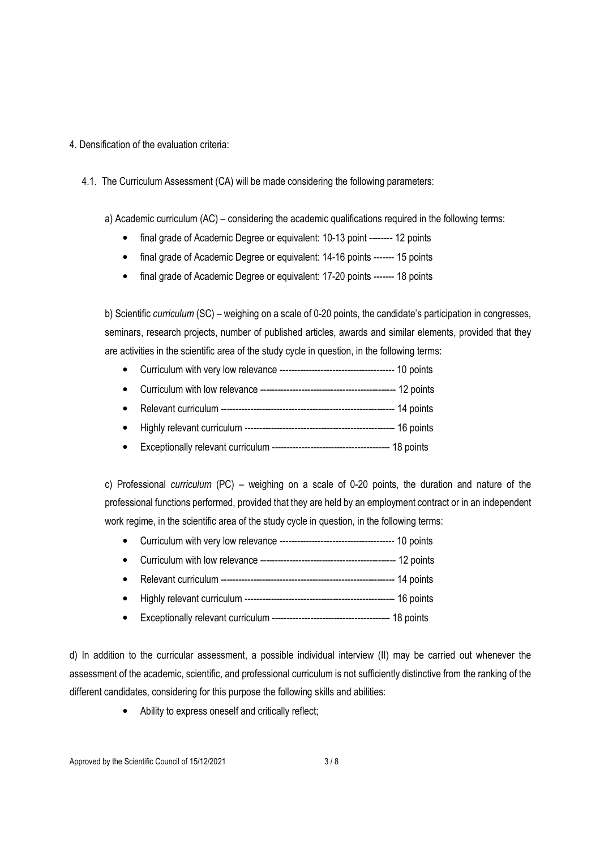### 4. Densification of the evaluation criteria:

4.1. The Curriculum Assessment (CA) will be made considering the following parameters:

a) Academic curriculum (AC) – considering the academic qualifications required in the following terms:

- final grade of Academic Degree or equivalent: 10-13 point -------- 12 points
- final grade of Academic Degree or equivalent: 14-16 points ------- 15 points
- final grade of Academic Degree or equivalent: 17-20 points ------- 18 points

b) Scientific curriculum (SC) – weighing on a scale of 0-20 points, the candidate's participation in congresses, seminars, research projects, number of published articles, awards and similar elements, provided that they are activities in the scientific area of the study cycle in question, in the following terms:

- Curriculum with very low relevance --------------------------------------- 10 points
- Curriculum with low relevance ---------------------------------------------- 12 points
- Relevant curriculum ----------------------------------------------------------- 14 points
- Highly relevant curriculum --------------------------------------------------- 16 points
- Exceptionally relevant curriculum ---------------------------------------- 18 points

c) Professional curriculum (PC) – weighing on a scale of 0-20 points, the duration and nature of the professional functions performed, provided that they are held by an employment contract or in an independent work regime, in the scientific area of the study cycle in question, in the following terms:

- Curriculum with very low relevance --------------------------------------- 10 points
- Curriculum with low relevance ---------------------------------------------- 12 points
- Relevant curriculum ----------------------------------------------------------- 14 points
- Highly relevant curriculum --------------------------------------------------- 16 points
- Exceptionally relevant curriculum ---------------------------------------- 18 points

d) In addition to the curricular assessment, a possible individual interview (II) may be carried out whenever the assessment of the academic, scientific, and professional curriculum is not sufficiently distinctive from the ranking of the different candidates, considering for this purpose the following skills and abilities:

• Ability to express oneself and critically reflect;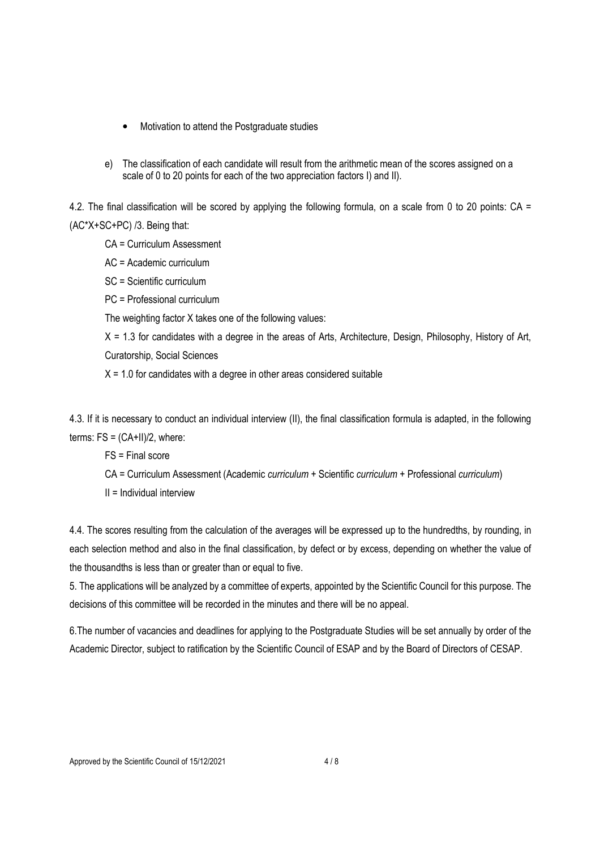- Motivation to attend the Postgraduate studies
- e) The classification of each candidate will result from the arithmetic mean of the scores assigned on a scale of 0 to 20 points for each of the two appreciation factors I) and II).

4.2. The final classification will be scored by applying the following formula, on a scale from 0 to 20 points: CA = (AC\*X+SC+PC) /3. Being that:

- CA = Curriculum Assessment
- AC = Academic curriculum
- SC = Scientific curriculum
- PC = Professional curriculum
- The weighting factor X takes one of the following values:

 $X = 1.3$  for candidates with a degree in the areas of Arts, Architecture, Design, Philosophy, History of Art, Curatorship, Social Sciences

 $X = 1.0$  for candidates with a degree in other areas considered suitable

4.3. If it is necessary to conduct an individual interview (II), the final classification formula is adapted, in the following terms:  $FS = (CA+II)/2$ , where:

- FS = Final score
- CA = Curriculum Assessment (Academic curriculum + Scientific curriculum + Professional curriculum)
- $II = Individual$  interview

4.4. The scores resulting from the calculation of the averages will be expressed up to the hundredths, by rounding, in each selection method and also in the final classification, by defect or by excess, depending on whether the value of the thousandths is less than or greater than or equal to five.

5. The applications will be analyzed by a committee of experts, appointed by the Scientific Council for this purpose. The decisions of this committee will be recorded in the minutes and there will be no appeal.

6.The number of vacancies and deadlines for applying to the Postgraduate Studies will be set annually by order of the Academic Director, subject to ratification by the Scientific Council of ESAP and by the Board of Directors of CESAP.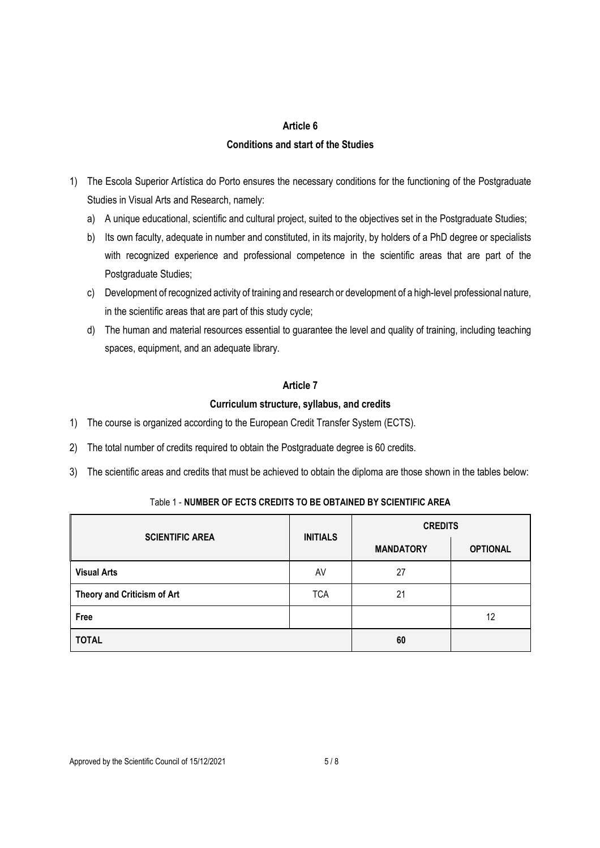### Article 6

### Conditions and start of the Studies

- 1) The Escola Superior Artística do Porto ensures the necessary conditions for the functioning of the Postgraduate Studies in Visual Arts and Research, namely:
	- a) A unique educational, scientific and cultural project, suited to the objectives set in the Postgraduate Studies;
	- b) Its own faculty, adequate in number and constituted, in its majority, by holders of a PhD degree or specialists with recognized experience and professional competence in the scientific areas that are part of the Postgraduate Studies;
	- c) Development of recognized activity of training and research or development of a high-level professional nature, in the scientific areas that are part of this study cycle;
	- d) The human and material resources essential to guarantee the level and quality of training, including teaching spaces, equipment, and an adequate library.

### Article 7

### Curriculum structure, syllabus, and credits

- 1) The course is organized according to the European Credit Transfer System (ECTS).
- 2) The total number of credits required to obtain the Postgraduate degree is 60 credits.
- 3) The scientific areas and credits that must be achieved to obtain the diploma are those shown in the tables below:

# Table 1 - NUMBER OF ECTS CREDITS TO BE OBTAINED BY SCIENTIFIC AREA

| <b>SCIENTIFIC AREA</b>      | <b>INITIALS</b> | <b>CREDITS</b>   |                 |  |
|-----------------------------|-----------------|------------------|-----------------|--|
|                             |                 | <b>MANDATORY</b> | <b>OPTIONAL</b> |  |
| <b>Visual Arts</b>          | AV              | 27               |                 |  |
| Theory and Criticism of Art | <b>TCA</b>      | 21               |                 |  |
| Free                        |                 |                  | 12              |  |
| <b>TOTAL</b>                |                 | 60               |                 |  |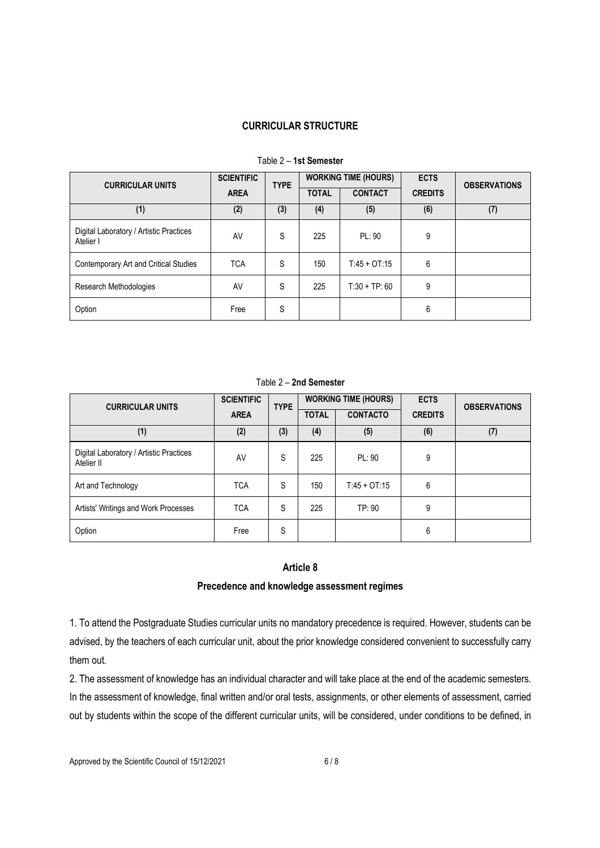## CURRICULAR STRUCTURE

| <b>CURRICULAR UNITS</b>                              | <b>SCIENTIFIC</b><br><b>TYPE</b> | <b>WORKING TIME (HOURS)</b> |              | <b>ECTS</b>    | <b>OBSERVATIONS</b> |     |
|------------------------------------------------------|----------------------------------|-----------------------------|--------------|----------------|---------------------|-----|
|                                                      | <b>AREA</b>                      |                             | <b>TOTAL</b> | <b>CONTACT</b> | <b>CREDITS</b>      |     |
| (1)                                                  | (2)                              | (3)                         | (4)          | (5)            | (6)                 | (7) |
| Digital Laboratory / Artistic Practices<br>Atelier I | AV                               | S                           | 225          | PL: 90         | 9                   |     |
| Contemporary Art and Critical Studies                | <b>TCA</b>                       | S                           | 150          | $T:45 + OT:15$ | 6                   |     |
| Research Methodologies                               | AV                               | S                           | 225          | $T:30 + TP:60$ | 9                   |     |
| Option                                               | Free                             | S                           |              |                | 6                   |     |

# Table 2 – 1st Semester

#### Table 2 – 2nd Semester

| <b>CURRICULAR UNITS</b>                               | <b>SCIENTIFIC</b> | <b>TYPE</b> | <b>WORKING TIME (HOURS)</b> |                 | <b>ECTS</b>    | <b>OBSERVATIONS</b> |
|-------------------------------------------------------|-------------------|-------------|-----------------------------|-----------------|----------------|---------------------|
|                                                       | <b>AREA</b>       |             | <b>TOTAL</b>                | <b>CONTACTO</b> | <b>CREDITS</b> |                     |
| (1)                                                   | (2)               | (3)         | (4)                         | (5)             | (6)            | (7)                 |
| Digital Laboratory / Artistic Practices<br>Atelier II | AV                | S           | 225                         | PL: 90          | 9              |                     |
| Art and Technology                                    | <b>TCA</b>        | S           | 150                         | $T:45 + OT:15$  | 6              |                     |
| Artists' Writings and Work Processes                  | <b>TCA</b>        | S           | 225                         | TP:90           | 9              |                     |
| Option                                                | Free              | S           |                             |                 | 6              |                     |

# Article 8

### Precedence and knowledge assessment regimes

1. To attend the Postgraduate Studies curricular units no mandatory precedence is required. However, students can be advised, by the teachers of each curricular unit, about the prior knowledge considered convenient to successfully carry them out.

2. The assessment of knowledge has an individual character and will take place at the end of the academic semesters. In the assessment of knowledge, final written and/or oral tests, assignments, or other elements of assessment, carried out by students within the scope of the different curricular units, will be considered, under conditions to be defined, in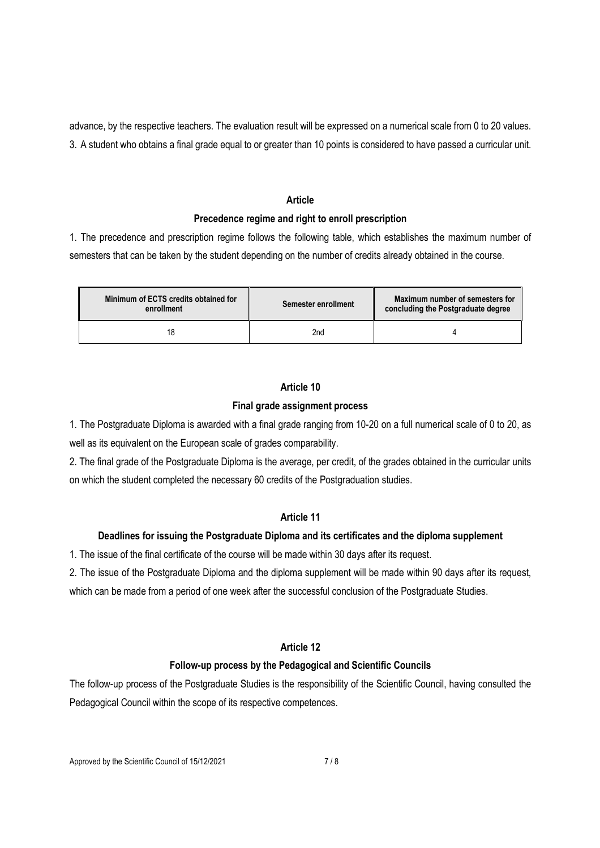advance, by the respective teachers. The evaluation result will be expressed on a numerical scale from 0 to 20 values. 3. A student who obtains a final grade equal to or greater than 10 points is considered to have passed a curricular unit.

### Article

### Precedence regime and right to enroll prescription

1. The precedence and prescription regime follows the following table, which establishes the maximum number of semesters that can be taken by the student depending on the number of credits already obtained in the course.

| Minimum of ECTS credits obtained for<br>enrollment | Semester enrollment | Maximum number of semesters for<br>concluding the Postgraduate degree |  |  |
|----------------------------------------------------|---------------------|-----------------------------------------------------------------------|--|--|
|                                                    | 2nd                 |                                                                       |  |  |

### Article 10

# Final grade assignment process

1. The Postgraduate Diploma is awarded with a final grade ranging from 10-20 on a full numerical scale of 0 to 20, as well as its equivalent on the European scale of grades comparability.

2. The final grade of the Postgraduate Diploma is the average, per credit, of the grades obtained in the curricular units on which the student completed the necessary 60 credits of the Postgraduation studies.

# Article 11

## Deadlines for issuing the Postgraduate Diploma and its certificates and the diploma supplement

1. The issue of the final certificate of the course will be made within 30 days after its request.

2. The issue of the Postgraduate Diploma and the diploma supplement will be made within 90 days after its request,

which can be made from a period of one week after the successful conclusion of the Postgraduate Studies.

### Article 12

### Follow-up process by the Pedagogical and Scientific Councils

The follow-up process of the Postgraduate Studies is the responsibility of the Scientific Council, having consulted the Pedagogical Council within the scope of its respective competences.